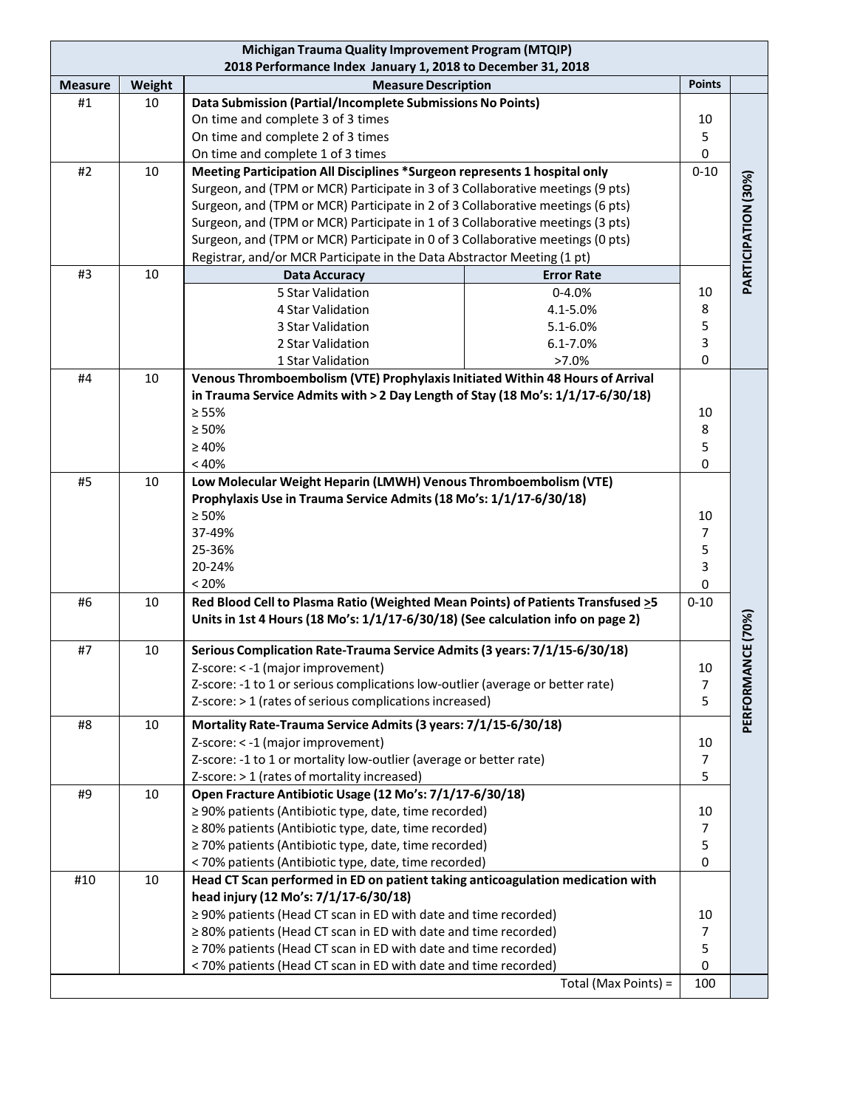| 2018 Performance Index January 1, 2018 to December 31, 2018<br><b>Points</b><br>Weight<br><b>Measure Description</b><br><b>Measure</b><br>Data Submission (Partial/Incomplete Submissions No Points)<br>#1<br>10<br>On time and complete 3 of 3 times<br>10<br>On time and complete 2 of 3 times<br>5<br>On time and complete 1 of 3 times<br>0<br>Meeting Participation All Disciplines *Surgeon represents 1 hospital only<br>$0 - 10$<br>#2<br>10<br>PARTICIPATION (30%)<br>Surgeon, and (TPM or MCR) Participate in 3 of 3 Collaborative meetings (9 pts)<br>Surgeon, and (TPM or MCR) Participate in 2 of 3 Collaborative meetings (6 pts)<br>Surgeon, and (TPM or MCR) Participate in 1 of 3 Collaborative meetings (3 pts)<br>Surgeon, and (TPM or MCR) Participate in 0 of 3 Collaborative meetings (0 pts)<br>Registrar, and/or MCR Participate in the Data Abstractor Meeting (1 pt)<br>#3<br>10<br><b>Error Rate</b><br><b>Data Accuracy</b><br>$0 - 4.0%$<br>5 Star Validation<br>10<br>8<br>4 Star Validation<br>4.1-5.0%<br>5<br>3 Star Validation<br>5.1-6.0%<br>3<br>2 Star Validation<br>6.1-7.0% |
|--------------------------------------------------------------------------------------------------------------------------------------------------------------------------------------------------------------------------------------------------------------------------------------------------------------------------------------------------------------------------------------------------------------------------------------------------------------------------------------------------------------------------------------------------------------------------------------------------------------------------------------------------------------------------------------------------------------------------------------------------------------------------------------------------------------------------------------------------------------------------------------------------------------------------------------------------------------------------------------------------------------------------------------------------------------------------------------------------------------------|
|                                                                                                                                                                                                                                                                                                                                                                                                                                                                                                                                                                                                                                                                                                                                                                                                                                                                                                                                                                                                                                                                                                                    |
|                                                                                                                                                                                                                                                                                                                                                                                                                                                                                                                                                                                                                                                                                                                                                                                                                                                                                                                                                                                                                                                                                                                    |
|                                                                                                                                                                                                                                                                                                                                                                                                                                                                                                                                                                                                                                                                                                                                                                                                                                                                                                                                                                                                                                                                                                                    |
|                                                                                                                                                                                                                                                                                                                                                                                                                                                                                                                                                                                                                                                                                                                                                                                                                                                                                                                                                                                                                                                                                                                    |
|                                                                                                                                                                                                                                                                                                                                                                                                                                                                                                                                                                                                                                                                                                                                                                                                                                                                                                                                                                                                                                                                                                                    |
|                                                                                                                                                                                                                                                                                                                                                                                                                                                                                                                                                                                                                                                                                                                                                                                                                                                                                                                                                                                                                                                                                                                    |
|                                                                                                                                                                                                                                                                                                                                                                                                                                                                                                                                                                                                                                                                                                                                                                                                                                                                                                                                                                                                                                                                                                                    |
|                                                                                                                                                                                                                                                                                                                                                                                                                                                                                                                                                                                                                                                                                                                                                                                                                                                                                                                                                                                                                                                                                                                    |
|                                                                                                                                                                                                                                                                                                                                                                                                                                                                                                                                                                                                                                                                                                                                                                                                                                                                                                                                                                                                                                                                                                                    |
|                                                                                                                                                                                                                                                                                                                                                                                                                                                                                                                                                                                                                                                                                                                                                                                                                                                                                                                                                                                                                                                                                                                    |
|                                                                                                                                                                                                                                                                                                                                                                                                                                                                                                                                                                                                                                                                                                                                                                                                                                                                                                                                                                                                                                                                                                                    |
|                                                                                                                                                                                                                                                                                                                                                                                                                                                                                                                                                                                                                                                                                                                                                                                                                                                                                                                                                                                                                                                                                                                    |
|                                                                                                                                                                                                                                                                                                                                                                                                                                                                                                                                                                                                                                                                                                                                                                                                                                                                                                                                                                                                                                                                                                                    |
|                                                                                                                                                                                                                                                                                                                                                                                                                                                                                                                                                                                                                                                                                                                                                                                                                                                                                                                                                                                                                                                                                                                    |
|                                                                                                                                                                                                                                                                                                                                                                                                                                                                                                                                                                                                                                                                                                                                                                                                                                                                                                                                                                                                                                                                                                                    |
|                                                                                                                                                                                                                                                                                                                                                                                                                                                                                                                                                                                                                                                                                                                                                                                                                                                                                                                                                                                                                                                                                                                    |
| $\mathsf 0$<br>$>7.0\%$<br>1 Star Validation                                                                                                                                                                                                                                                                                                                                                                                                                                                                                                                                                                                                                                                                                                                                                                                                                                                                                                                                                                                                                                                                       |
| Venous Thromboembolism (VTE) Prophylaxis Initiated Within 48 Hours of Arrival<br>#4<br>10                                                                                                                                                                                                                                                                                                                                                                                                                                                                                                                                                                                                                                                                                                                                                                                                                                                                                                                                                                                                                          |
| in Trauma Service Admits with > 2 Day Length of Stay (18 Mo's: 1/1/17-6/30/18)                                                                                                                                                                                                                                                                                                                                                                                                                                                                                                                                                                                                                                                                                                                                                                                                                                                                                                                                                                                                                                     |
| $\geq 55\%$<br>10                                                                                                                                                                                                                                                                                                                                                                                                                                                                                                                                                                                                                                                                                                                                                                                                                                                                                                                                                                                                                                                                                                  |
| $\geq 50\%$<br>8                                                                                                                                                                                                                                                                                                                                                                                                                                                                                                                                                                                                                                                                                                                                                                                                                                                                                                                                                                                                                                                                                                   |
| $\geq 40\%$<br>5                                                                                                                                                                                                                                                                                                                                                                                                                                                                                                                                                                                                                                                                                                                                                                                                                                                                                                                                                                                                                                                                                                   |
| < 40%<br>0                                                                                                                                                                                                                                                                                                                                                                                                                                                                                                                                                                                                                                                                                                                                                                                                                                                                                                                                                                                                                                                                                                         |
| Low Molecular Weight Heparin (LMWH) Venous Thromboembolism (VTE)<br>#5<br>10                                                                                                                                                                                                                                                                                                                                                                                                                                                                                                                                                                                                                                                                                                                                                                                                                                                                                                                                                                                                                                       |
| Prophylaxis Use in Trauma Service Admits (18 Mo's: 1/1/17-6/30/18)                                                                                                                                                                                                                                                                                                                                                                                                                                                                                                                                                                                                                                                                                                                                                                                                                                                                                                                                                                                                                                                 |
| $\geq 50\%$<br>10                                                                                                                                                                                                                                                                                                                                                                                                                                                                                                                                                                                                                                                                                                                                                                                                                                                                                                                                                                                                                                                                                                  |
| 37-49%<br>7                                                                                                                                                                                                                                                                                                                                                                                                                                                                                                                                                                                                                                                                                                                                                                                                                                                                                                                                                                                                                                                                                                        |
| 25-36%<br>5                                                                                                                                                                                                                                                                                                                                                                                                                                                                                                                                                                                                                                                                                                                                                                                                                                                                                                                                                                                                                                                                                                        |
| 20-24%<br>3                                                                                                                                                                                                                                                                                                                                                                                                                                                                                                                                                                                                                                                                                                                                                                                                                                                                                                                                                                                                                                                                                                        |
| < 20%<br>0                                                                                                                                                                                                                                                                                                                                                                                                                                                                                                                                                                                                                                                                                                                                                                                                                                                                                                                                                                                                                                                                                                         |
| Red Blood Cell to Plasma Ratio (Weighted Mean Points) of Patients Transfused >5<br>$0 - 10$<br>#6<br>10                                                                                                                                                                                                                                                                                                                                                                                                                                                                                                                                                                                                                                                                                                                                                                                                                                                                                                                                                                                                            |
| <b>NCE (70%)</b><br>Units in 1st 4 Hours (18 Mo's: 1/1/17-6/30/18) (See calculation info on page 2)                                                                                                                                                                                                                                                                                                                                                                                                                                                                                                                                                                                                                                                                                                                                                                                                                                                                                                                                                                                                                |
| Serious Complication Rate-Trauma Service Admits (3 years: 7/1/15-6/30/18)<br>#7<br>10                                                                                                                                                                                                                                                                                                                                                                                                                                                                                                                                                                                                                                                                                                                                                                                                                                                                                                                                                                                                                              |
| 10<br>Z-score: < -1 (major improvement)                                                                                                                                                                                                                                                                                                                                                                                                                                                                                                                                                                                                                                                                                                                                                                                                                                                                                                                                                                                                                                                                            |
| $\overline{7}$<br>Z-score: -1 to 1 or serious complications low-outlier (average or better rate)                                                                                                                                                                                                                                                                                                                                                                                                                                                                                                                                                                                                                                                                                                                                                                                                                                                                                                                                                                                                                   |
| 5<br>Z-score: > 1 (rates of serious complications increased)                                                                                                                                                                                                                                                                                                                                                                                                                                                                                                                                                                                                                                                                                                                                                                                                                                                                                                                                                                                                                                                       |
| PERFORMA                                                                                                                                                                                                                                                                                                                                                                                                                                                                                                                                                                                                                                                                                                                                                                                                                                                                                                                                                                                                                                                                                                           |
| Mortality Rate-Trauma Service Admits (3 years: 7/1/15-6/30/18)<br>#8<br>10                                                                                                                                                                                                                                                                                                                                                                                                                                                                                                                                                                                                                                                                                                                                                                                                                                                                                                                                                                                                                                         |
| Z-score: < -1 (major improvement)<br>10<br>Z-score: -1 to 1 or mortality low-outlier (average or better rate)                                                                                                                                                                                                                                                                                                                                                                                                                                                                                                                                                                                                                                                                                                                                                                                                                                                                                                                                                                                                      |
| $\overline{7}$                                                                                                                                                                                                                                                                                                                                                                                                                                                                                                                                                                                                                                                                                                                                                                                                                                                                                                                                                                                                                                                                                                     |
| 5<br>Z-score: > 1 (rates of mortality increased)<br>Open Fracture Antibiotic Usage (12 Mo's: 7/1/17-6/30/18)<br>#9<br>10                                                                                                                                                                                                                                                                                                                                                                                                                                                                                                                                                                                                                                                                                                                                                                                                                                                                                                                                                                                           |
| ≥ 90% patients (Antibiotic type, date, time recorded)<br>10                                                                                                                                                                                                                                                                                                                                                                                                                                                                                                                                                                                                                                                                                                                                                                                                                                                                                                                                                                                                                                                        |
| ≥ 80% patients (Antibiotic type, date, time recorded)<br>$\overline{7}$                                                                                                                                                                                                                                                                                                                                                                                                                                                                                                                                                                                                                                                                                                                                                                                                                                                                                                                                                                                                                                            |
| 5<br>≥ 70% patients (Antibiotic type, date, time recorded)                                                                                                                                                                                                                                                                                                                                                                                                                                                                                                                                                                                                                                                                                                                                                                                                                                                                                                                                                                                                                                                         |
| 0<br>< 70% patients (Antibiotic type, date, time recorded)                                                                                                                                                                                                                                                                                                                                                                                                                                                                                                                                                                                                                                                                                                                                                                                                                                                                                                                                                                                                                                                         |
| Head CT Scan performed in ED on patient taking anticoagulation medication with<br>#10<br>10                                                                                                                                                                                                                                                                                                                                                                                                                                                                                                                                                                                                                                                                                                                                                                                                                                                                                                                                                                                                                        |
| head injury (12 Mo's: 7/1/17-6/30/18)                                                                                                                                                                                                                                                                                                                                                                                                                                                                                                                                                                                                                                                                                                                                                                                                                                                                                                                                                                                                                                                                              |
| ≥ 90% patients (Head CT scan in ED with date and time recorded)<br>10                                                                                                                                                                                                                                                                                                                                                                                                                                                                                                                                                                                                                                                                                                                                                                                                                                                                                                                                                                                                                                              |
| ≥ 80% patients (Head CT scan in ED with date and time recorded)<br>$\overline{7}$                                                                                                                                                                                                                                                                                                                                                                                                                                                                                                                                                                                                                                                                                                                                                                                                                                                                                                                                                                                                                                  |
| ≥ 70% patients (Head CT scan in ED with date and time recorded)<br>5                                                                                                                                                                                                                                                                                                                                                                                                                                                                                                                                                                                                                                                                                                                                                                                                                                                                                                                                                                                                                                               |
| < 70% patients (Head CT scan in ED with date and time recorded)<br>0                                                                                                                                                                                                                                                                                                                                                                                                                                                                                                                                                                                                                                                                                                                                                                                                                                                                                                                                                                                                                                               |
| Total (Max Points) =<br>100                                                                                                                                                                                                                                                                                                                                                                                                                                                                                                                                                                                                                                                                                                                                                                                                                                                                                                                                                                                                                                                                                        |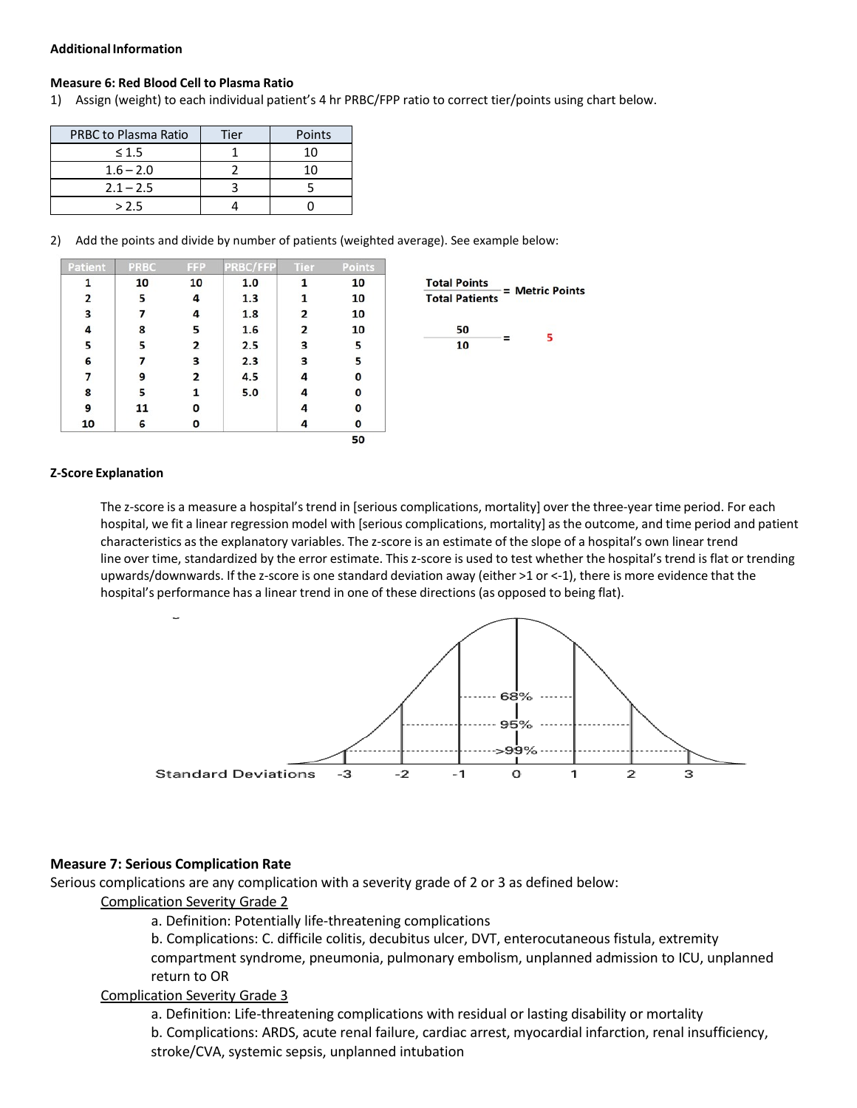#### **AdditionalInformation**

#### **Measure 6: Red Blood Cell to Plasma Ratio**

1) Assign (weight) to each individual patient's 4 hr PRBC/FPP ratio to correct tier/points using chart below.

| <b>PRBC to Plasma Ratio</b> | Tier | Points |
|-----------------------------|------|--------|
| $\leq 1.5$                  |      | 10     |
| $1.6 - 2.0$                 |      | 10     |
| $2.1 - 2.5$                 |      |        |
| > 2.5                       |      |        |

2) Add the points and divide by number of patients (weighted average). See example below:

| Patient | <b>PRBC</b> | <b>FFP</b> | PRBC/FFP | <b>Tier</b> | Points |                                        |
|---------|-------------|------------|----------|-------------|--------|----------------------------------------|
|         | 10          | 10         | 1.0      |             | 10     | <b>Total Points</b><br>= Metric Points |
| 2       | 5           | 4          | 1.3      |             | 10     | <b>Total Patients</b>                  |
| з       |             | 4          | 1.8      | 2           | 10     |                                        |
|         | 8           | 5          | 1.6      | 2           | 10     | 50                                     |
|         | 5           | 2          | 2.5      | 3           | 5      | $=$<br>10                              |
| 6       |             | 3          | 2.3      | 3           |        |                                        |
|         | 9           |            | 4.5      |             | 0      |                                        |
| 8       |             |            | 5.0      |             | 0      |                                        |
| 9       | 11          | 0          |          |             | 0      |                                        |
| 10      | 6           | 0          |          |             | 0      |                                        |
|         |             |            |          |             | 50     |                                        |

#### **Z-Score Explanation**

The z-score is a measure a hospital'strend in [serious complications, mortality] over the three-year time period. For each hospital, we fit a linear regression model with [serious complications, mortality] asthe outcome, and time period and patient characteristics asthe explanatory variables. The z-score is an estimate of the slope of a hospital's own linear trend line over time, standardized by the error estimate. This z-score is used to test whether the hospital's trend is flat or trending upwards/downwards. If the z-score is one standard deviation away (either >1 or <-1), there is more evidence that the hospital's performance has a linear trend in one of these directions (as opposed to being flat).



### **Measure 7: Serious Complication Rate**

Serious complications are any complication with a severity grade of 2 or 3 as defined below:

### Complication Severity Grade 2

a. Definition: Potentially life-threatening complications

b. Complications: C. difficile colitis, decubitus ulcer, DVT, enterocutaneous fistula, extremity compartment syndrome, pneumonia, pulmonary embolism, unplanned admission to ICU, unplanned return to OR

## Complication Severity Grade 3

a. Definition: Life-threatening complications with residual or lasting disability or mortality b. Complications: ARDS, acute renal failure, cardiac arrest, myocardial infarction, renal insufficiency, stroke/CVA, systemic sepsis, unplanned intubation